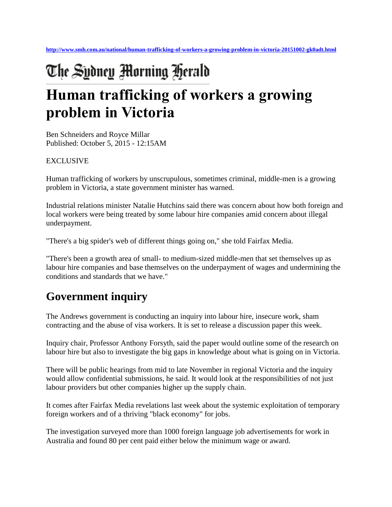# The Sydney Morning Herald **Human trafficking of workers a growing problem in Victoria**

Ben Schneiders and Royce Millar Published: October 5, 2015 - 12:15AM

#### EXCLUSIVE

Human trafficking of workers by unscrupulous, sometimes criminal, middle-men is a growing problem in Victoria, a state government minister has warned.

Industrial relations minister Natalie Hutchins said there was concern about how both foreign and local workers were being treated by some labour hire companies amid concern about illegal underpayment.

"There's a big spider's web of different things going on," she told Fairfax Media.

"There's been a growth area of small- to medium-sized middle-men that set themselves up as labour hire companies and base themselves on the underpayment of wages and undermining the conditions and standards that we have."

## **Government inquiry**

The Andrews government is conducting an inquiry into labour hire, insecure work, sham contracting and the abuse of visa workers. It is set to release a discussion paper this week.

Inquiry chair, Professor Anthony Forsyth, said the paper would outline some of the research on labour hire but also to investigate the big gaps in knowledge about what is going on in Victoria.

There will be public hearings from mid to late November in regional Victoria and the inquiry would allow confidential submissions, he said. It would look at the responsibilities of not just labour providers but other companies higher up the supply chain.

It comes after Fairfax Media revelations last week about the systemic exploitation of temporary foreign workers and of a thriving "black economy" for jobs.

The investigation surveyed more than 1000 foreign language job advertisements for work in Australia and found 80 per cent paid either below the minimum wage or award.